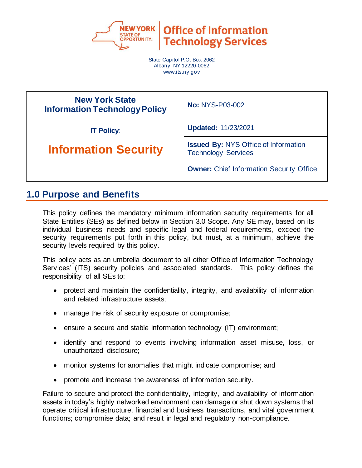

**Office of Information Technology Services** 

State Capitol P.O. Box 2062 Albany, NY 12220-0062 www.its.ny.gov

| <b>New York State</b><br><b>Information Technology Policy</b> | <b>No: NYS-P03-002</b>                                                    |
|---------------------------------------------------------------|---------------------------------------------------------------------------|
| <b>IT Policy:</b>                                             | <b>Updated: 11/23/2021</b>                                                |
| <b>Information Security</b>                                   | <b>Issued By: NYS Office of Information</b><br><b>Technology Services</b> |
|                                                               | <b>Owner:</b> Chief Information Security Office                           |

## **1.0 Purpose and Benefits**

This policy defines the mandatory minimum information security requirements for all State Entities (SEs) as defined below in Section 3.0 Scope. Any SE may, based on its individual business needs and specific legal and federal requirements, exceed the security requirements put forth in this policy, but must, at a minimum, achieve the security levels required by this policy.

This policy acts as an umbrella document to all other Office of Information Technology Services' (ITS) security policies and associated standards. This policy defines the responsibility of all SEs to:

- protect and maintain the confidentiality, integrity, and availability of information and related infrastructure assets;
- manage the risk of security exposure or compromise;
- ensure a secure and stable information technology (IT) environment;
- identify and respond to events involving information asset misuse, loss, or unauthorized disclosure;
- monitor systems for anomalies that might indicate compromise; and
- promote and increase the awareness of information security.

Failure to secure and protect the confidentiality, integrity, and availability of information assets in today's highly networked environment can damage or shut down systems that operate critical infrastructure, financial and business transactions, and vital government functions; compromise data; and result in legal and regulatory non-compliance.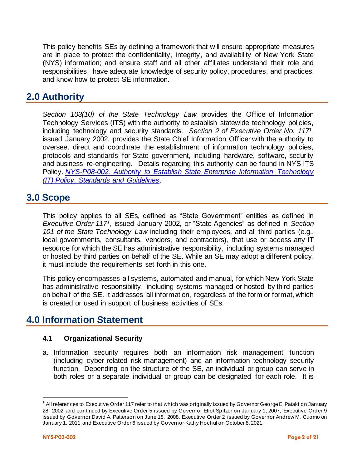This policy benefits SEs by defining a framework that will ensure appropriate measures are in place to protect the confidentiality, integrity, and availability of New York State (NYS) information; and ensure staff and all other affiliates understand their role and responsibilities, have adequate knowledge of security policy, procedures, and practices, and know how to protect SE information.

# **2.0 Authority**

*Section 103(10) of the State Technology Law* provides the Office of Information Technology Services (ITS) with the authority to establish statewide technology policies, including technology and security standards. *Section 2 of Executive Order No. 117*1, issued January 2002, provides the State Chief Information Officer with the authority to oversee, direct and coordinate the establishment of information technology policies, protocols and standards for State government, including hardware, software, security and business re-engineering. Details regarding this authority can be found in NYS ITS Policy, *NYS-P08-002, [Authority to Establish State Enterprise Information Technology](https://its.ny.gov/document/authority-establish-state-enterprise-information-technology-it-policy-standards-and-guidelines)  [\(IT\) Policy, Standards and Guidelines](https://its.ny.gov/document/authority-establish-state-enterprise-information-technology-it-policy-standards-and-guidelines)*.

## **3.0 Scope**

This policy applies to all SEs, defined as "State Government" entities as defined in *Executive Order 1171*, issued January 2002, or "State Agencies" as defined in *Section 101 of the State Technology Law* including their employees, and all third parties (e.g., local governments, consultants, vendors, and contractors), that use or access any IT resource for which the SE has administrative responsibility, including systems managed or hosted by third parties on behalf of the SE. While an SE may adopt a different policy, it must include the requirements set forth in this one.

This policy encompasses all systems, automated and manual, for which New York State has administrative responsibility, including systems managed or hosted by third parties on behalf of the SE. It addresses all information, regardless of the form or format, which is created or used in support of business activities of SEs.

# **4.0 Information Statement**

## **4.1 Organizational Security**

a. Information security requires both an information risk management function (including cyber-related risk management) and an information technology security function. Depending on the structure of the SE, an individual or group can serve in both roles or a separate individual or group can be designated for each role. It is

 $1$  All references to Executive Order 117 refer to that which was originally issued by Governor George E. Pataki on January 28, 2002 and continued by Executive Order 5 issued by Governor Eliot Spitzer on January 1, 2007, Executive Order 9 issued by Governor David A. Patterson on June 18, 2008, Executive Order 2 issued by Governor Andrew M. Cuomo on January 1, 2011 and Executive Order 6 issued by Governor Kathy Hochul on October 8, 2021.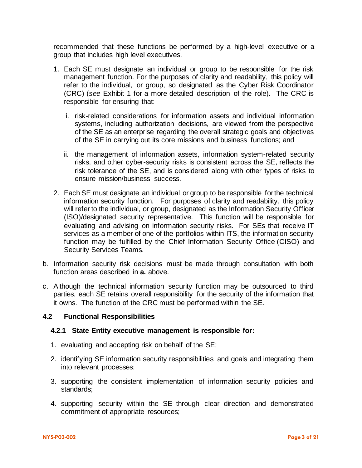recommended that these functions be performed by a high-level executive or a group that includes high level executives.

- 1. Each SE must designate an individual or group to be responsible for the risk management function. For the purposes of clarity and readability, this policy will refer to the individual, or group, so designated as the Cyber Risk Coordinator (CRC) (*see* Exhibit 1 for a more detailed description of the role). The CRC is responsible for ensuring that:
	- i. risk-related considerations for information assets and individual information systems, including authorization decisions, are viewed from the perspective of the SE as an enterprise regarding the overall strategic goals and objectives of the SE in carrying out its core missions and business functions; and
	- ii. the management of information assets, information system-related security risks, and other cyber-security risks is consistent across the SE, reflects the risk tolerance of the SE, and is considered along with other types of risks to ensure mission/business success.
- 2. Each SE must designate an individual or group to be responsible for the technical information security function. For purposes of clarity and readability, this policy will refer to the individual, or group, designated as the Information Security Officer (ISO)/designated security representative. This function will be responsible for evaluating and advising on information security risks. For SEs that receive IT services as a member of one of the portfolios within ITS, the information security function may be fulfilled by the Chief Information Security Office (CISO) and Security Services Teams.
- b. Information security risk decisions must be made through consultation with both function areas described in **a.** above.
- c. Although the technical information security function may be outsourced to third parties, each SE retains overall responsibility for the security of the information that it owns. The function of the CRC must be performed within the SE.

## **4.2 Functional Responsibilities**

## **4.2.1 State Entity executive management is responsible for:**

- 1. evaluating and accepting risk on behalf of the SE;
- 2. identifying SE information security responsibilities and goals and integrating them into relevant processes;
- 3. supporting the consistent implementation of information security policies and standards;
- 4. supporting security within the SE through clear direction and demonstrated commitment of appropriate resources;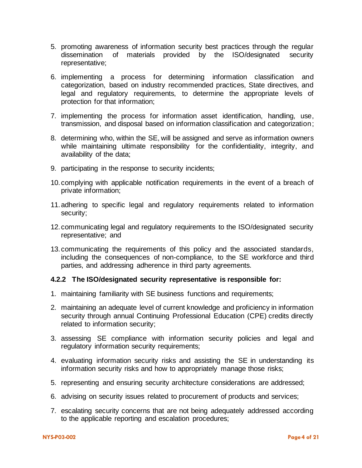- 5. promoting awareness of information security best practices through the regular dissemination of materials provided by the ISO/designated security representative;
- 6. implementing a process for determining information classification and categorization, based on industry recommended practices, State directives, and legal and regulatory requirements, to determine the appropriate levels of protection for that information;
- 7. implementing the process for information asset identification, handling, use, transmission, and disposal based on information classification and categorization;
- 8. determining who, within the SE, will be assigned and serve as information owners while maintaining ultimate responsibility for the confidentiality, integrity, and availability of the data;
- 9. participating in the response to security incidents;
- 10.complying with applicable notification requirements in the event of a breach of private information;
- 11.adhering to specific legal and regulatory requirements related to information security;
- 12.communicating legal and regulatory requirements to the ISO/designated security representative; and
- 13.communicating the requirements of this policy and the associated standards, including the consequences of non-compliance, to the SE workforce and third parties, and addressing adherence in third party agreements.

## **4.2.2 The ISO/designated security representative is responsible for:**

- 1. maintaining familiarity with SE business functions and requirements;
- 2. maintaining an adequate level of current knowledge and proficiency in information security through annual Continuing Professional Education (CPE) credits directly related to information security;
- 3. assessing SE compliance with information security policies and legal and regulatory information security requirements;
- 4. evaluating information security risks and assisting the SE in understanding its information security risks and how to appropriately manage those risks;
- 5. representing and ensuring security architecture considerations are addressed;
- 6. advising on security issues related to procurement of products and services;
- 7. escalating security concerns that are not being adequately addressed according to the applicable reporting and escalation procedures;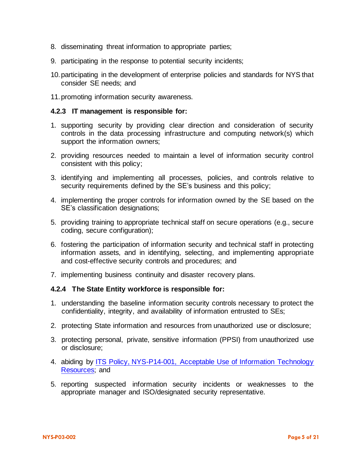- 8. disseminating threat information to appropriate parties;
- 9. participating in the response to potential security incidents;
- 10.participating in the development of enterprise policies and standards for NYS that consider SE needs; and
- 11.promoting information security awareness.

### **4.2.3 IT management is responsible for:**

- 1. supporting security by providing clear direction and consideration of security controls in the data processing infrastructure and computing network(s) which support the information owners;
- 2. providing resources needed to maintain a level of information security control consistent with this policy;
- 3. identifying and implementing all processes, policies, and controls relative to security requirements defined by the SE's business and this policy;
- 4. implementing the proper controls for information owned by the SE based on the SE's classification designations;
- 5. providing training to appropriate technical staff on secure operations (e.g., secure coding, secure configuration);
- 6. fostering the participation of information security and technical staff in protecting information assets, and in identifying, selecting, and implementing appropriate and cost-effective security controls and procedures; and
- 7. implementing business continuity and disaster recovery plans.

## **4.2.4 The State Entity workforce is responsible for:**

- 1. understanding the baseline information security controls necessary to protect the confidentiality, integrity, and availability of information entrusted to SEs;
- 2. protecting State information and resources from unauthorized use or disclosure;
- 3. protecting personal, private, sensitive information (PPSI) from unauthorized use or disclosure;
- 4. abiding by [ITS Policy, NYS-P14-001,](https://its.ny.gov/document/acceptable-use-information-technology-it-resources-policy) Acceptable Use of Information Technology [Resources;](https://its.ny.gov/document/acceptable-use-information-technology-it-resources-policy) and
- 5. reporting suspected information security incidents or weaknesses to the appropriate manager and ISO/designated security representative.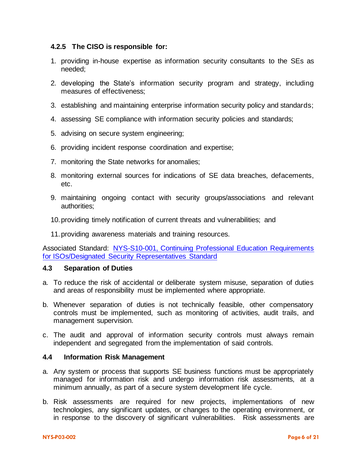## **4.2.5 The CISO is responsible for:**

- 1. providing in-house expertise as information security consultants to the SEs as needed;
- 2. developing the State's information security program and strategy, including measures of effectiveness;
- 3. establishing and maintaining enterprise information security policy and standards;
- 4. assessing SE compliance with information security policies and standards;
- 5. advising on secure system engineering;
- 6. providing incident response coordination and expertise;
- 7. monitoring the State networks for anomalies;
- 8. monitoring external sources for indications of SE data breaches, defacements, etc.
- 9. maintaining ongoing contact with security groups/associations and relevant authorities;
- 10.providing timely notification of current threats and vulnerabilities; and
- 11.providing awareness materials and training resources.

Associated Standard: NYS-S10-001, [Continuing Professional Education Requirements](https://its.ny.gov/document/cpe-requirements-isosdesignated-security-representatives-standard)  [for ISOs/Designated Security Representatives Standard](https://its.ny.gov/document/cpe-requirements-isosdesignated-security-representatives-standard)

## **4.3 Separation of Duties**

- a. To reduce the risk of accidental or deliberate system misuse, separation of duties and areas of responsibility must be implemented where appropriate.
- b. Whenever separation of duties is not technically feasible, other compensatory controls must be implemented, such as monitoring of activities, audit trails, and management supervision.
- c. The audit and approval of information security controls must always remain independent and segregated from the implementation of said controls.

## **4.4 Information Risk Management**

- a. Any system or process that supports SE business functions must be appropriately managed for information risk and undergo information risk assessments, at a minimum annually, as part of a secure system development life cycle.
- b. Risk assessments are required for new projects, implementations of new technologies, any significant updates, or changes to the operating environment, or in response to the discovery of significant vulnerabilities. Risk assessments are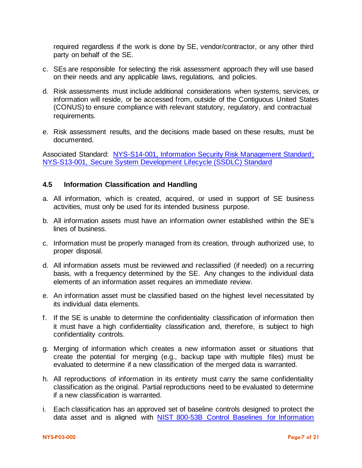required regardless if the work is done by SE, vendor/contractor, or any other third party on behalf of the SE.

- c. SEs are responsible for selecting the risk assessment approach they will use based on their needs and any applicable laws, regulations, and policies.
- d. Risk assessments must include additional considerations when systems, services, or information will reside, or be accessed from, outside of the Contiguous United States (CONUS) to ensure compliance with relevant statutory, regulatory, and contractual requirements.
- e. Risk assessment results, and the decisions made based on these results, must be documented.

Associated Standard: [NYS-S14-001, Information Security Risk Management Standard;](https://its.ny.gov/document/information-security-risk-management-standard) NYS-S13-001, [Secure System Development Lifecycle \(SSDLC\) Standard](https://its.ny.gov/document/secure-system-development-life-cycle-ssdlc-standard)

## **4.5 Information Classification and Handling**

- a. All information, which is created, acquired, or used in support of SE business activities, must only be used for its intended business purpose.
- b. All information assets must have an information owner established within the SE's lines of business.
- c. Information must be properly managed from its creation, through authorized use, to proper disposal.
- d. All information assets must be reviewed and reclassified (if needed) on a recurring basis, with a frequency determined by the SE. Any changes to the individual data elements of an information asset requires an immediate review.
- e. An information asset must be classified based on the highest level necessitated by its individual data elements.
- f. If the SE is unable to determine the confidentiality classification of information then it must have a high confidentiality classification and, therefore, is subject to high confidentiality controls.
- g. Merging of information which creates a new information asset or situations that create the potential for merging (e.g., backup tape with multiple files) must be evaluated to determine if a new classification of the merged data is warranted.
- h. All reproductions of information in its entirety must carry the same confidentiality classification as the original. Partial reproductions need to be evaluated to determine if a new classification is warranted.
- i. Each classification has an approved set of baseline controls designed to protect the data asset and is aligned with [NIST 800-53B Control Baselines for Information](https://csrc.nist.gov/publications/detail/sp/800-53b/final)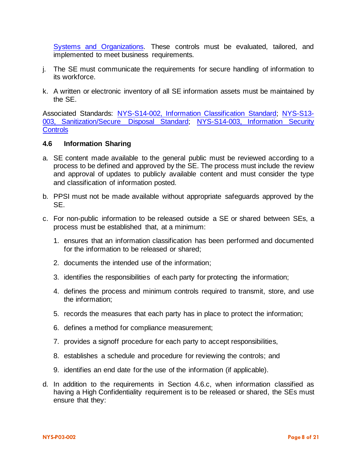[Systems and Organizations.](https://csrc.nist.gov/publications/detail/sp/800-53b/final) These controls must be evaluated, tailored, and implemented to meet business requirements.

- j. The SE must communicate the requirements for secure handling of information to its workforce.
- k. A written or electronic inventory of all SE information assets must be maintained by the SE.

Associated Standards: [NYS-S14-002, Information Classification Standard;](https://its.ny.gov/document/information-classification-standard) [NYS-S13-](https://its.ny.gov/document/sanitization-secure-disposal-standard) 003, [Sanitization/Secure Disposal Standard;](https://its.ny.gov/document/sanitization-secure-disposal-standard) [NYS-S14-003, Information Security](https://its.ny.gov/document/information-security-controls)  **[Controls](https://its.ny.gov/document/information-security-controls)** 

#### **4.6 Information Sharing**

- a. SE content made available to the general public must be reviewed according to a process to be defined and approved by the SE. The process must include the review and approval of updates to publicly available content and must consider the type and classification of information posted.
- b. PPSI must not be made available without appropriate safeguards approved by the SE.
- c. For non-public information to be released outside a SE or shared between SEs, a process must be established that, at a minimum:
	- 1. ensures that an information classification has been performed and documented for the information to be released or shared;
	- 2. documents the intended use of the information;
	- 3. identifies the responsibilities of each party for protecting the information;
	- 4. defines the process and minimum controls required to transmit, store, and use the information;
	- 5. records the measures that each party has in place to protect the information;
	- 6. defines a method for compliance measurement;
	- 7. provides a signoff procedure for each party to accept responsibilities,
	- 8. establishes a schedule and procedure for reviewing the controls; and
	- 9. identifies an end date for the use of the information (if applicable).
- d. In addition to the requirements in Section 4.6.c, when information classified as having a High Confidentiality requirement is to be released or shared, the SEs must ensure that they: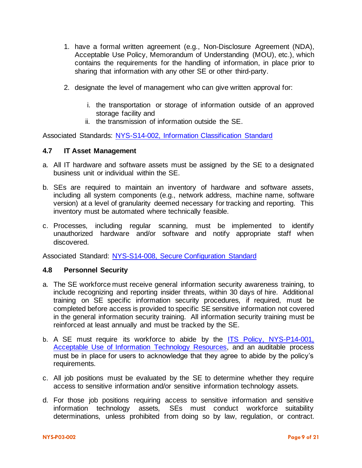- 1. have a formal written agreement (e.g., Non-Disclosure Agreement (NDA), Acceptable Use Policy, Memorandum of Understanding (MOU), etc.), which contains the requirements for the handling of information, in place prior to sharing that information with any other SE or other third-party.
- 2. designate the level of management who can give written approval for:
	- i. the transportation or storage of information outside of an approved storage facility and
	- ii. the transmission of information outside the SE.

Associated Standards: [NYS-S14-002, Information Classification Standard](https://its.ny.gov/document/information-classification-standard)

## **4.7 IT Asset Management**

- a. All IT hardware and software assets must be assigned by the SE to a designated business unit or individual within the SE.
- b. SEs are required to maintain an inventory of hardware and software assets, including all system components (e.g., network address, machine name, software version) at a level of granularity deemed necessary for tracking and reporting. This inventory must be automated where technically feasible.
- c. Processes, including regular scanning, must be implemented to identify unauthorized hardware and/or software and notify appropriate staff when discovered.

Associated Standard: NYS-S14-008, [Secure Configuration Standard](https://its.ny.gov/document/secure-configuration-standard)

## **4.8 Personnel Security**

- a. The SE workforce must receive general information security awareness training, to include recognizing and reporting insider threats, within 30 days of hire. Additional training on SE specific information security procedures, if required, must be completed before access is provided to specific SE sensitive information not covered in the general information security training. All information security training must be reinforced at least annually and must be tracked by the SE.
- b. A SE must require its workforce to abide by the ITS Policy, NYS-P14-001, [Acceptable Use of Information Technology Resources,](https://its.ny.gov/document/acceptable-use-information-technology-it-resources-policy) and an auditable process must be in place for users to acknowledge that they agree to abide by the policy's requirements.
- c. All job positions must be evaluated by the SE to determine whether they require access to sensitive information and/or sensitive information technology assets.
- d. For those job positions requiring access to sensitive information and sensitive information technology assets, SEs must conduct workforce suitability determinations, unless prohibited from doing so by law, regulation, or contract.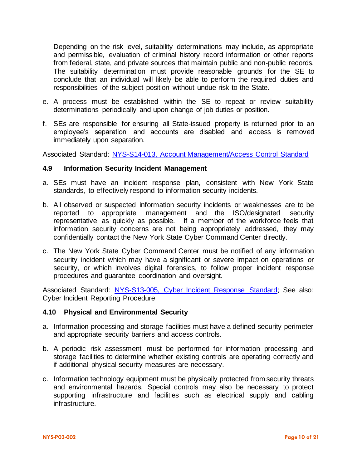Depending on the risk level, suitability determinations may include, as appropriate and permissible, evaluation of criminal history record information or other reports from federal, state, and private sources that maintain public and non-public records. The suitability determination must provide reasonable grounds for the SE to conclude that an individual will likely be able to perform the required duties and responsibilities of the subject position without undue risk to the State.

- e. A process must be established within the SE to repeat or review suitability determinations periodically and upon change of job duties or position.
- f. SEs are responsible for ensuring all State-issued property is returned prior to an employee's separation and accounts are disabled and access is removed immediately upon separation.

Associated Standard: NYS-S14-013, [Account Management/Access Control Standard](https://its.ny.gov/document/account-management-access-control)

#### **4.9 Information Security Incident Management**

- a. SEs must have an incident response plan, consistent with New York State standards, to effectively respond to information security incidents.
- b. All observed or suspected information security incidents or weaknesses are to be reported to appropriate management and the ISO/designated security representative as quickly as possible. If a member of the workforce feels that information security concerns are not being appropriately addressed, they may confidentially contact the New York State Cyber Command Center directly.
- c. The New York State Cyber Command Center must be notified of any information security incident which may have a significant or severe impact on operations or security, or which involves digital forensics, to follow proper incident response procedures and guarantee coordination and oversight.

Associated Standard: NYS-S13-005, [Cyber Incident Response Standard;](https://its.ny.gov/document/cyber-incident-response-standard) See also: Cyber Incident Reporting Procedure

#### **4.10 Physical and Environmental Security**

- a. Information processing and storage facilities must have a defined security perimeter and appropriate security barriers and access controls.
- b. A periodic risk assessment must be performed for information processing and storage facilities to determine whether existing controls are operating correctly and if additional physical security measures are necessary.
- c. Information technology equipment must be physically protected from security threats and environmental hazards. Special controls may also be necessary to protect supporting infrastructure and facilities such as electrical supply and cabling infrastructure.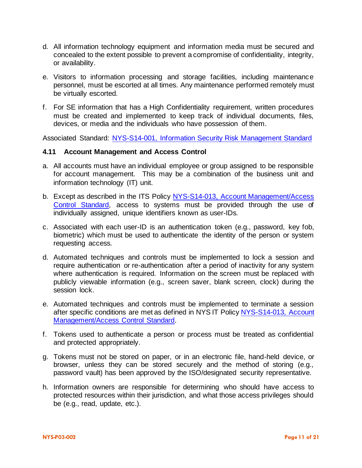- d. All information technology equipment and information media must be secured and concealed to the extent possible to prevent a compromise of confidentiality, integrity, or availability.
- e. Visitors to information processing and storage facilities, including maintenance personnel, must be escorted at all times. Any maintenance performed remotely must be virtually escorted.
- f. For SE information that has a High Confidentiality requirement, written procedures must be created and implemented to keep track of individual documents, files, devices, or media and the individuals who have possession of them.

Associated Standard: NYS-S14-001, [Information Security Risk Management Standard](https://its.ny.gov/document/information-security-risk-management-standard)

## **4.11 Account Management and Access Control**

- a. All accounts must have an individual employee or group assigned to be responsible for account management. This may be a combination of the business unit and information technology (IT) unit.
- b. Except as described in the ITS Policy NYS-S14-013, [Account Management/Access](http://www.its.ny.gov/document/account-management-access-control)  [Control Standard,](http://www.its.ny.gov/document/account-management-access-control) access to systems must be provided through the use of individually assigned, unique identifiers known as user-IDs.
- c. Associated with each user-ID is an authentication token (e.g., password, key fob, biometric) which must be used to authenticate the identity of the person or system requesting access.
- d. Automated techniques and controls must be implemented to lock a session and require authentication or re-authentication after a period of inactivity for any system where authentication is required. Information on the screen must be replaced with publicly viewable information (e.g., screen saver, blank screen, clock) during the session lock.
- e. Automated techniques and controls must be implemented to terminate a session after specific conditions are met as defined in NYS IT Policy [NYS-S14-013, Account](http://www.its.ny.gov/document/account-management-access-control)  [Management/Access Control Standard.](http://www.its.ny.gov/document/account-management-access-control)
- f. Tokens used to authenticate a person or process must be treated as confidential and protected appropriately.
- g. Tokens must not be stored on paper, or in an electronic file, hand-held device, or browser, unless they can be stored securely and the method of storing (e.g., password vault) has been approved by the ISO/designated security representative.
- h. Information owners are responsible for determining who should have access to protected resources within their jurisdiction, and what those access privileges should be (e.g., read, update, etc.).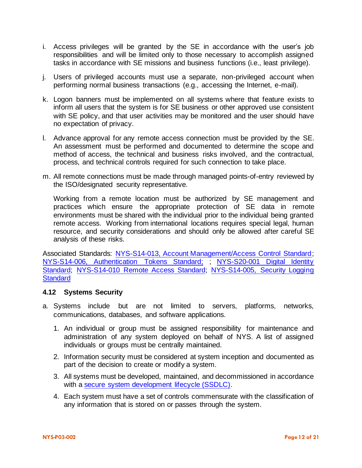- i. Access privileges will be granted by the SE in accordance with the user's job responsibilities and will be limited only to those necessary to accomplish assigned tasks in accordance with SE missions and business functions (i.e., least privilege).
- j. Users of privileged accounts must use a separate, non-privileged account when performing normal business transactions (e.g., accessing the Internet, e-mail).
- k. Logon banners must be implemented on all systems where that feature exists to inform all users that the system is for SE business or other approved use consistent with SE policy, and that user activities may be monitored and the user should have no expectation of privacy.
- l. Advance approval for any remote access connection must be provided by the SE. An assessment must be performed and documented to determine the scope and method of access, the technical and business risks involved, and the contractual, process, and technical controls required for such connection to take place.
- m. All remote connections must be made through managed points-of-entry reviewed by the ISO/designated security representative.

Working from a remote location must be authorized by SE management and practices which ensure the appropriate protection of SE data in remote environments must be shared with the individual prior to the individual being granted remote access. Working from international locations requires special legal, human resource, and security considerations and should only be allowed after careful SE analysis of these risks.

Associated Standards: NYS-S14-013, [Account Management/Access Control Standard;](http://www.its.ny.gov/document/account-management-access-control) [NYS-S14-006, Authentication Tokens Standard;](https://its.ny.gov/document/authentication-tokens-standard) ; [NYS-S20-001 Digital Identity](https://its.ny.gov/document/digital-identity-standard)  [Standard;](https://its.ny.gov/document/digital-identity-standard) [NYS-S14-010 Remote Access Standard;](http://www.its.ny.gov/document/remote-access-it-standard) NYS-S14-005, [Security Logging](https://its.ny.gov/document/security-logging-standard)  **[Standard](https://its.ny.gov/document/security-logging-standard)** 

## **4.12 Systems Security**

- a. Systems include but are not limited to servers, platforms, networks, communications, databases, and software applications.
	- 1. An individual or group must be assigned responsibility for maintenance and administration of any system deployed on behalf of NYS. A list of assigned individuals or groups must be centrally maintained.
	- 2. Information security must be considered at system inception and documented as part of the decision to create or modify a system.
	- 3. All systems must be developed, maintained, and decommissioned in accordance with a [secure system development lifecycle \(SSDLC\).](https://its.ny.gov/document/secure-system-development-life-cycle-ssdlc-standard)
	- 4. Each system must have a set of controls commensurate with the classification of any information that is stored on or passes through the system.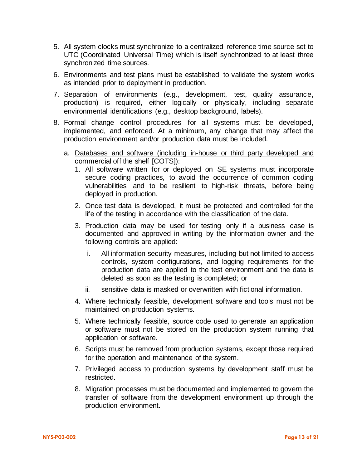- 5. All system clocks must synchronize to a centralized reference time source set to UTC (Coordinated Universal Time) which is itself synchronized to at least three synchronized time sources.
- 6. Environments and test plans must be established to validate the system works as intended prior to deployment in production.
- 7. Separation of environments (e.g., development, test, quality assurance, production) is required, either logically or physically, including separate environmental identifications (e.g., desktop background, labels).
- 8. Formal change control procedures for all systems must be developed, implemented, and enforced. At a minimum, any change that may affect the production environment and/or production data must be included.
	- a. Databases and software (including in-house or third party developed and commercial off the shelf [COTS]):
		- 1. All software written for or deployed on SE systems must incorporate secure coding practices, to avoid the occurrence of common coding vulnerabilities and to be resilient to high-risk threats, before being deployed in production.
		- 2. Once test data is developed, it must be protected and controlled for the life of the testing in accordance with the classification of the data.
		- 3. Production data may be used for testing only if a business case is documented and approved in writing by the information owner and the following controls are applied:
			- i. All information security measures, including but not limited to access controls, system configurations, and logging requirements for the production data are applied to the test environment and the data is deleted as soon as the testing is completed; or
			- ii. sensitive data is masked or overwritten with fictional information.
		- 4. Where technically feasible, development software and tools must not be maintained on production systems.
		- 5. Where technically feasible, source code used to generate an application or software must not be stored on the production system running that application or software.
		- 6. Scripts must be removed from production systems, except those required for the operation and maintenance of the system.
		- 7. Privileged access to production systems by development staff must be restricted.
		- 8. Migration processes must be documented and implemented to govern the transfer of software from the development environment up through the production environment.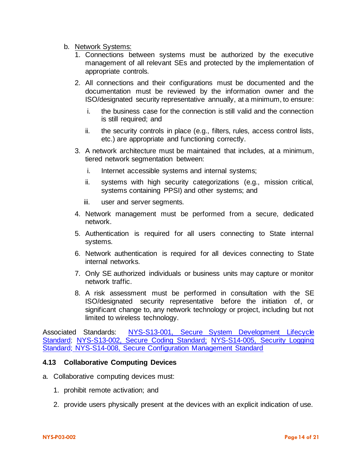- b. Network Systems:
	- 1. Connections between systems must be authorized by the executive management of all relevant SEs and protected by the implementation of appropriate controls.
	- 2. All connections and their configurations must be documented and the documentation must be reviewed by the information owner and the ISO/designated security representative annually, at a minimum, to ensure:
		- i. the business case for the connection is still valid and the connection is still required; and
		- ii. the security controls in place (e.g., filters, rules, access control lists, etc.) are appropriate and functioning correctly.
	- 3. A network architecture must be maintained that includes, at a minimum, tiered network segmentation between:
		- i. Internet accessible systems and internal systems;
		- ii. systems with high security categorizations (e.g., mission critical, systems containing PPSI) and other systems; and
		- iii. user and server segments.
	- 4. Network management must be performed from a secure, dedicated network.
	- 5. Authentication is required for all users connecting to State internal systems.
	- 6. Network authentication is required for all devices connecting to State internal networks.
	- 7. Only SE authorized individuals or business units may capture or monitor network traffic.
	- 8. A risk assessment must be performed in consultation with the SE ISO/designated security representative before the initiation of, or significant change to, any network technology or project, including but not limited to wireless technology.

Associated Standards: [NYS-S13-001, Secure System Development Lifecycle](https://its.ny.gov/document/secure-system-development-life-cycle-ssdlc-standard)  [Standard;](https://its.ny.gov/document/secure-system-development-life-cycle-ssdlc-standard) [NYS-S13-002, Secure Coding Standard;](http://www.its.ny.gov/document/secure-coding-standard) NYS-S14-005, [Security Logging](http://www.its.ny.gov/document/security-logging-standard)  [Standard;](http://www.its.ny.gov/document/security-logging-standard) NYS-S14-008, [Secure Configuration Management Standard](http://www.its.ny.gov/document/secure-configuration-standard)

## **4.13 Collaborative Computing Devices**

- a. Collaborative computing devices must:
	- 1. prohibit remote activation; and
	- 2. provide users physically present at the devices with an explicit indication of use.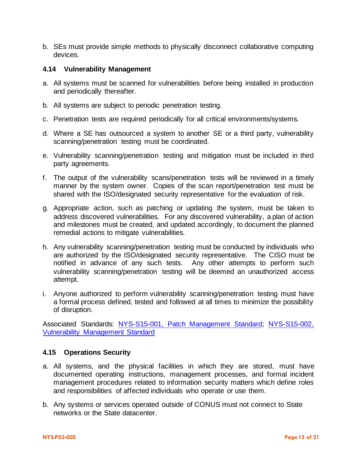b. SEs must provide simple methods to physically disconnect collaborative computing devices.

### **4.14 Vulnerability Management**

- a. All systems must be scanned for vulnerabilities before being installed in production and periodically thereafter.
- b. All systems are subject to periodic penetration testing.
- c. Penetration tests are required periodically for all critical environments/systems.
- d. Where a SE has outsourced a system to another SE or a third party, vulnerability scanning/penetration testing must be coordinated.
- e. Vulnerability scanning/penetration testing and mitigation must be included in third party agreements.
- f. The output of the vulnerability scans/penetration tests will be reviewed in a timely manner by the system owner. Copies of the scan report/penetration test must be shared with the ISO/designated security representative for the evaluation of risk.
- g. Appropriate action, such as patching or updating the system, must be taken to address discovered vulnerabilities. For any discovered vulnerability, a plan of action and milestones must be created, and updated accordingly, to document the planned remedial actions to mitigate vulnerabilities.
- h. Any vulnerability scanning/penetration testing must be conducted by individuals who are authorized by the ISO/designated security representative. The CISO must be notified in advance of any such tests. Any other attempts to perform such vulnerability scanning/penetration testing will be deemed an unauthorized access attempt.
- i. Anyone authorized to perform vulnerability scanning/penetration testing must have a formal process defined, tested and followed at all times to minimize the possibility of disruption.

Associated Standards: NYS-S15-001, [Patch Management Standard;](https://its.ny.gov/document/patch-management-standard) [NYS-S15-002,](https://its.ny.gov/document/vulnerability-scanning-standard)  [Vulnerability Management Standard](https://its.ny.gov/document/vulnerability-scanning-standard)

## **4.15 Operations Security**

- a. All systems, and the physical facilities in which they are stored, must have documented operating instructions, management processes, and formal incident management procedures related to information security matters which define roles and responsibilities of affected individuals who operate or use them.
- b. Any systems or services operated outside of CONUS must not connect to State networks or the State datacenter.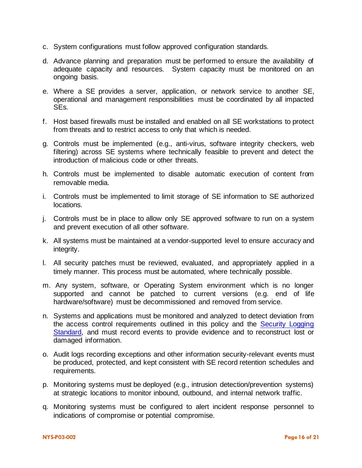- c. System configurations must follow approved configuration standards.
- d. Advance planning and preparation must be performed to ensure the availability of adequate capacity and resources. System capacity must be monitored on an ongoing basis.
- e. Where a SE provides a server, application, or network service to another SE, operational and management responsibilities must be coordinated by all impacted SEs.
- f. Host based firewalls must be installed and enabled on all SE workstations to protect from threats and to restrict access to only that which is needed.
- g. Controls must be implemented (e.g., anti-virus, software integrity checkers, web filtering) across SE systems where technically feasible to prevent and detect the introduction of malicious code or other threats.
- h. Controls must be implemented to disable automatic execution of content from removable media.
- i. Controls must be implemented to limit storage of SE information to SE authorized locations.
- j. Controls must be in place to allow only SE approved software to run on a system and prevent execution of all other software.
- k. All systems must be maintained at a vendor-supported level to ensure accuracy and integrity.
- l. All security patches must be reviewed, evaluated, and appropriately applied in a timely manner. This process must be automated, where technically possible.
- m. Any system, software, or Operating System environment which is no longer supported and cannot be patched to current versions (e.g. end of life hardware/software) must be decommissioned and removed from service.
- n. Systems and applications must be monitored and analyzed to detect deviation from the access control requirements outlined in this policy and the Security Logging [Standard,](http://www.its.ny.gov/document/security-logging-standard) and must record events to provide evidence and to reconstruct lost or damaged information.
- o. Audit logs recording exceptions and other information security-relevant events must be produced, protected, and kept consistent with SE record retention schedules and requirements.
- p. Monitoring systems must be deployed (e.g., intrusion detection/prevention systems) at strategic locations to monitor inbound, outbound, and internal network traffic.
- q. Monitoring systems must be configured to alert incident response personnel to indications of compromise or potential compromise.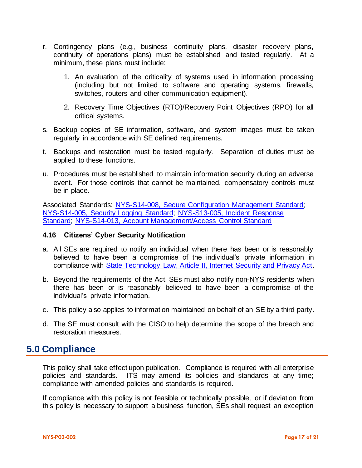- r. Contingency plans (e.g., business continuity plans, disaster recovery plans, continuity of operations plans) must be established and tested regularly. At a minimum, these plans must include:
	- 1. An evaluation of the criticality of systems used in information processing (including but not limited to software and operating systems, firewalls, switches, routers and other communication equipment).
	- 2. Recovery Time Objectives (RTO)/Recovery Point Objectives (RPO) for all critical systems.
- s. Backup copies of SE information, software, and system images must be taken regularly in accordance with SE defined requirements.
- t. Backups and restoration must be tested regularly. Separation of duties must be applied to these functions.
- u. Procedures must be established to maintain information security during an adverse event. For those controls that cannot be maintained, compensatory controls must be in place.

Associated Standards: NYS-S14-008, [Secure Configuration Management Standard;](http://www.its.ny.gov/document/secure-configuration-standard) [NYS-S14-005, Security Logging Standard;](http://www.its.ny.gov/document/security-logging-standard) NYS-S13-005, [Incident Response](http://www.its.ny.gov/document/cyber-incident-response-standard)  [Standard;](http://www.its.ny.gov/document/cyber-incident-response-standard) NYS-S14-013, [Account Management/Access Control Standard](http://www.its.ny.gov/document/account-management-access-control)

### **4.16 Citizens' Cyber Security Notification**

- a. All SEs are required to notify an individual when there has been or is reasonably believed to have been a compromise of the individual's private information in compliance with [State Technology Law, Article II, Internet Security and Privacy Act.](http://www.its.ny.gov/nys-technology-law)
- b. Beyond the requirements of the Act, SEs must also notify non-NYS residents when there has been or is reasonably believed to have been a compromise of the individual's private information.
- c. This policy also applies to information maintained on behalf of an SE by a third party.
- d. The SE must consult with the CISO to help determine the scope of the breach and restoration measures.

## **5.0 Compliance**

This policy shall take effect upon publication. Compliance is required with all enterprise policies and standards. ITS may amend its policies and standards at any time; compliance with amended policies and standards is required.

If compliance with this policy is not feasible or technically possible, or if deviation from this policy is necessary to support a business function, SEs shall request an exception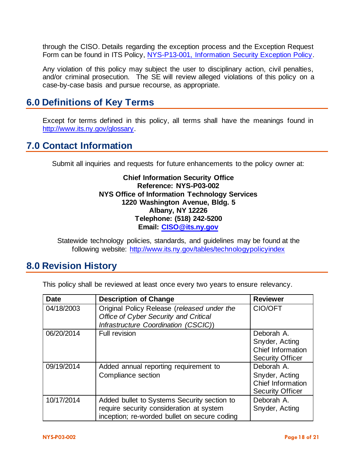through the CISO. Details regarding the exception process and the Exception Request Form can be found in ITS Policy, [NYS-P13-001, Information Security Exception Policy.](https://its.ny.gov/document/information-security-exception-policy)

Any violation of this policy may subject the user to disciplinary action, civil penalties, and/or criminal prosecution. The SE will review alleged violations of this policy on a case-by-case basis and pursue recourse, as appropriate.

# **6.0 Definitions of Key Terms**

Except for terms defined in this policy, all terms shall have the meanings found in [http://www.its.ny.gov/glossary.](http://www.its.ny.gov/glossary)

## **7.0 Contact Information**

Submit all inquiries and requests for future enhancements to the policy owner at:

## **Chief Information Security Office Reference: NYS-P03-002 NYS Office of Information Technology Services 1220 Washington Avenue, Bldg. 5 Albany, NY 12226 Telephone: (518) 242-5200 Email: [CISO@its.ny.gov](mailto:CISO@its.ny.gov)**

Statewide technology policies, standards, and guidelines may be found at the following website: <http://www.its.ny.gov/tables/technologypolicyindex>

# **8.0 Revision History**

This policy shall be reviewed at least once every two years to ensure relevancy.

| <b>Date</b> | <b>Description of Change</b>                                                                                                            | <b>Reviewer</b>                                                              |
|-------------|-----------------------------------------------------------------------------------------------------------------------------------------|------------------------------------------------------------------------------|
| 04/18/2003  | Original Policy Release (released under the<br>Office of Cyber Security and Critical<br>Infrastructure Coordination (CSCIC))            | CIO/OFT                                                                      |
| 06/20/2014  | Full revision                                                                                                                           | Deborah A.<br>Snyder, Acting<br>Chief Information<br><b>Security Officer</b> |
| 09/19/2014  | Added annual reporting requirement to<br>Compliance section                                                                             | Deborah A.<br>Snyder, Acting<br>Chief Information<br><b>Security Officer</b> |
| 10/17/2014  | Added bullet to Systems Security section to<br>require security consideration at system<br>inception; re-worded bullet on secure coding | Deborah A.<br>Snyder, Acting                                                 |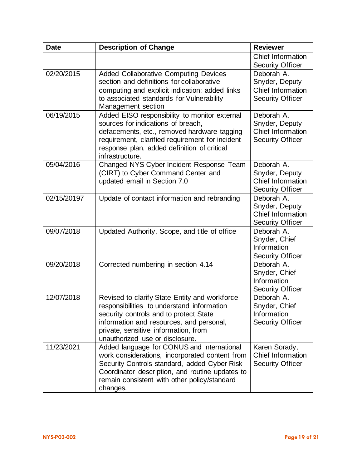| <b>Date</b> | <b>Description of Change</b>                                                                                                                                                                                                                                 | <b>Reviewer</b>                                                              |
|-------------|--------------------------------------------------------------------------------------------------------------------------------------------------------------------------------------------------------------------------------------------------------------|------------------------------------------------------------------------------|
|             |                                                                                                                                                                                                                                                              | Chief Information<br><b>Security Officer</b>                                 |
| 02/20/2015  | <b>Added Collaborative Computing Devices</b><br>section and definitions for collaborative<br>computing and explicit indication; added links<br>to associated standards for Vulnerability<br>Management section                                               | Deborah A.<br>Snyder, Deputy<br>Chief Information<br><b>Security Officer</b> |
| 06/19/2015  | Added EISO responsibility to monitor external<br>sources for indications of breach,<br>defacements, etc., removed hardware tagging<br>requirement, clarified requirement for incident<br>response plan, added definition of critical<br>infrastructure.      | Deborah A.<br>Snyder, Deputy<br>Chief Information<br><b>Security Officer</b> |
| 05/04/2016  | Changed NYS Cyber Incident Response Team<br>(CIRT) to Cyber Command Center and<br>updated email in Section 7.0                                                                                                                                               | Deborah A.<br>Snyder, Deputy<br>Chief Information<br><b>Security Officer</b> |
| 02/15/20197 | Update of contact information and rebranding                                                                                                                                                                                                                 | Deborah A.<br>Snyder, Deputy<br>Chief Information<br><b>Security Officer</b> |
| 09/07/2018  | Updated Authority, Scope, and title of office                                                                                                                                                                                                                | Deborah A.<br>Snyder, Chief<br>Information<br><b>Security Officer</b>        |
| 09/20/2018  | Corrected numbering in section 4.14                                                                                                                                                                                                                          | Deborah A.<br>Snyder, Chief<br>Information<br><b>Security Officer</b>        |
| 12/07/2018  | Revised to clarify State Entity and workforce<br>responsibilities to understand information<br>security controls and to protect State<br>information and resources, and personal,<br>private, sensitive information, from<br>unauthorized use or disclosure. | Deborah A.<br>Snyder, Chief<br>Information<br><b>Security Officer</b>        |
| 11/23/2021  | Added language for CONUS and international<br>work considerations, incorporated content from<br>Security Controls standard, added Cyber Risk<br>Coordinator description, and routine updates to<br>remain consistent with other policy/standard<br>changes.  | Karen Sorady,<br>Chief Information<br><b>Security Officer</b>                |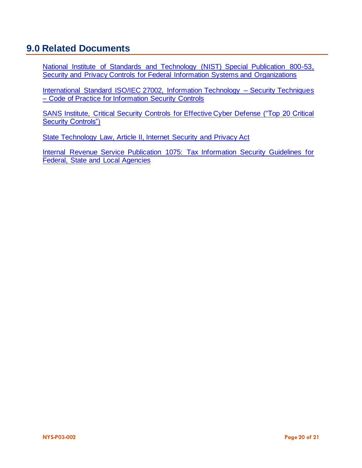# **9.0 Related Documents**

[National Institute of Standards and Technology \(NIST\) Special Publication 800-53,](http://csrc.nist.gov/publications/PubsSPs.html)  [Security and Privacy Controls for Federal Information Systems and Organizations](http://csrc.nist.gov/publications/PubsSPs.html)

[International Standard ISO/IEC 27002, Information Technology –](http://www.iso.org/iso/catalogue_detail?csnumber=54533) Security Techniques – [Code of Practice for Information Security Controls](http://www.iso.org/iso/catalogue_detail?csnumber=54533)

[SANS Institute, Critical Security Controls for Effective Cyber Defense](http://www.sans.org/critical-security-controls/) ("Top 20 Critical [Security Controls"\)](http://www.sans.org/critical-security-controls/)

[State Technology Law, Article II, Internet Security and Privacy Act](http://www.its.ny.gov/nys-technology-law)

[Internal Revenue Service Publication 1075: Tax Information Security Guidelines for](https://www.irs.gov/privacy-disclosure/safeguards-program)  [Federal, State and Local Agencies](https://www.irs.gov/privacy-disclosure/safeguards-program)